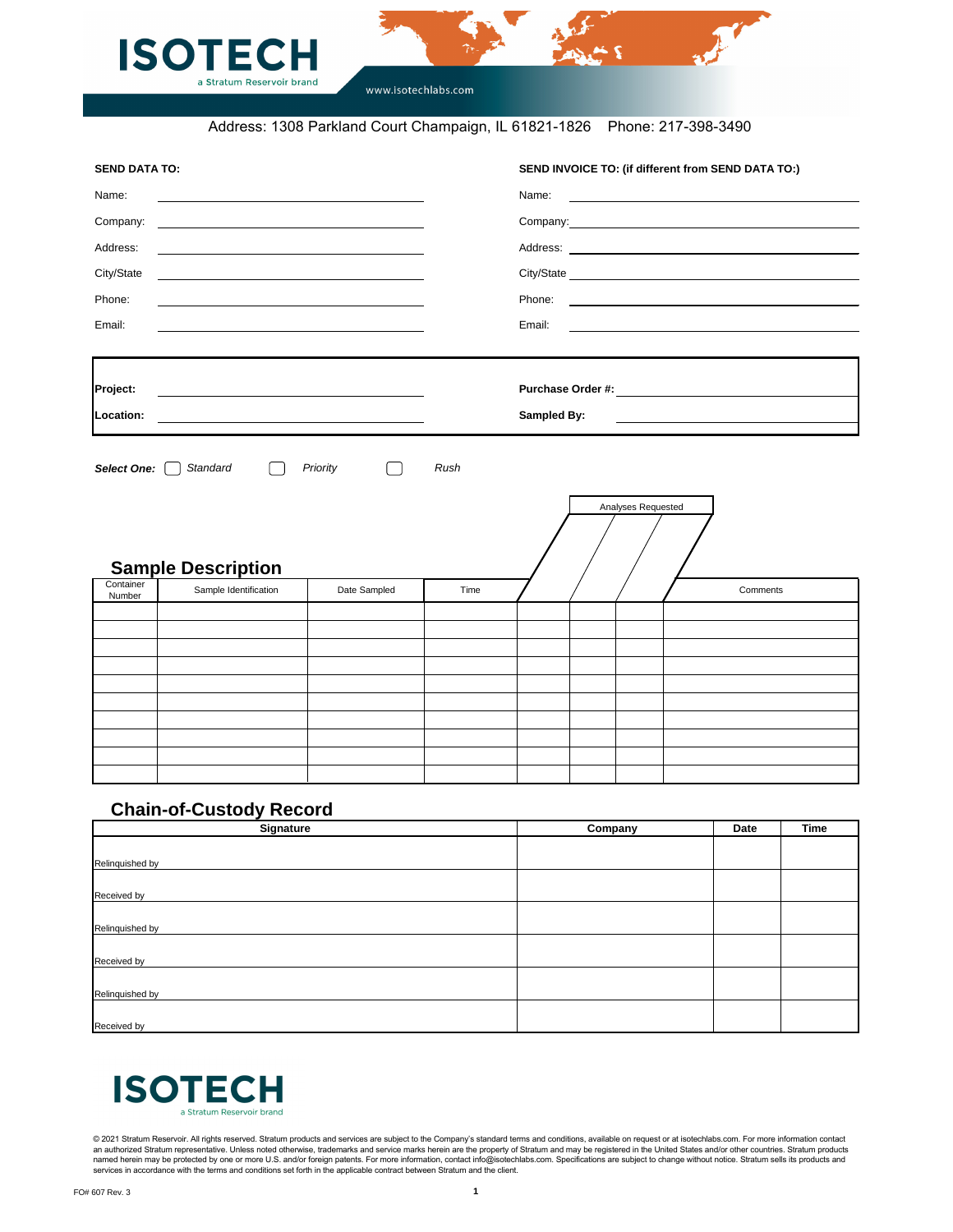



www.isotechlabs.com

| <b>Signature</b> | Company | Date | <b>Time</b> |
|------------------|---------|------|-------------|
| Relinquished by  |         |      |             |
|                  |         |      |             |
|                  |         |      |             |
| Received by      |         |      |             |
|                  |         |      |             |
| Relinquished by  |         |      |             |
|                  |         |      |             |
| Received by      |         |      |             |
|                  |         |      |             |
| Relinquished by  |         |      |             |
|                  |         |      |             |
| Received by      |         |      |             |



| Name:<br>Company:   |                                                                                                                        |              |      | SEND INVOICE TO: (if different from SEND DATA TO:)                                                                      |
|---------------------|------------------------------------------------------------------------------------------------------------------------|--------------|------|-------------------------------------------------------------------------------------------------------------------------|
|                     |                                                                                                                        |              |      |                                                                                                                         |
|                     | <u> 1989 - Johann Barn, fransk politik (d. 1989)</u>                                                                   |              |      |                                                                                                                         |
| Address:            | <u> Alexandro Alexandro Alexandro Alexandro Alexandro Alexandro Alexandro Alexandro Alexandro Alexandro Alexandro </u> |              |      |                                                                                                                         |
| City/State          | <u> 1989 - Johann Harry Harry Harry Harry Harry Harry Harry Harry Harry Harry Harry Harry Harry Harry Harry Harry</u>  |              |      |                                                                                                                         |
| Phone:              |                                                                                                                        |              |      |                                                                                                                         |
| Email:              | <u> 1980 - Johann Barbara, martxa alemaniar amerikan a</u>                                                             |              |      | Email:                                                                                                                  |
| Project:            |                                                                                                                        |              |      |                                                                                                                         |
| Location:           | <u> 1980 - Andrea Andrew Maria (h. 1980).</u>                                                                          |              |      | <b>Sampled By:</b>                                                                                                      |
|                     | <u> 1989 - Johann Barbara, martxa alemaniar arg</u>                                                                    |              |      | <u> 1989 - Johann John Stein, markin fizzar a shekara 1980 - An tsara 1980 - An tsara 1980 - An tsara 1980 - An tsa</u> |
| <b>Select One:</b>  | Standard<br>$\perp$                                                                                                    | Priority     | Rush | Analyses Requested                                                                                                      |
|                     | <b>Sample Description</b>                                                                                              |              |      |                                                                                                                         |
| Container<br>Number | Sample Identification                                                                                                  | Date Sampled | Time | Comments                                                                                                                |
|                     |                                                                                                                        |              |      |                                                                                                                         |
|                     |                                                                                                                        |              |      |                                                                                                                         |
|                     |                                                                                                                        |              |      |                                                                                                                         |
|                     |                                                                                                                        |              |      |                                                                                                                         |
|                     |                                                                                                                        |              |      |                                                                                                                         |
|                     |                                                                                                                        |              |      |                                                                                                                         |
|                     |                                                                                                                        |              |      |                                                                                                                         |

© 2021 Stratum Reservoir. All rights reserved. Stratum products and services are subject to the Company's standard terms and conditions, available on request or at isotechlabs.com. For more information contact an authorized Stratum representative. Unless noted otherwise, trademarks and service marks herein are the property of Stratum and may be registered in the United States and/or other countries. Stratum products named herein may be protected by one or more U.S. and/or foreign patents. For more information, contact info@isotechlabs.com. Specifications are subject to change without notice. Stratum sells its products and services in accordance with the terms and conditions set forth in the applicable contract between Stratum and the client.

## **Chain-of-Custody Record**

Address: 1308 Parkland Court Champaign, IL 61821-1826 Phone: 217-398-3490